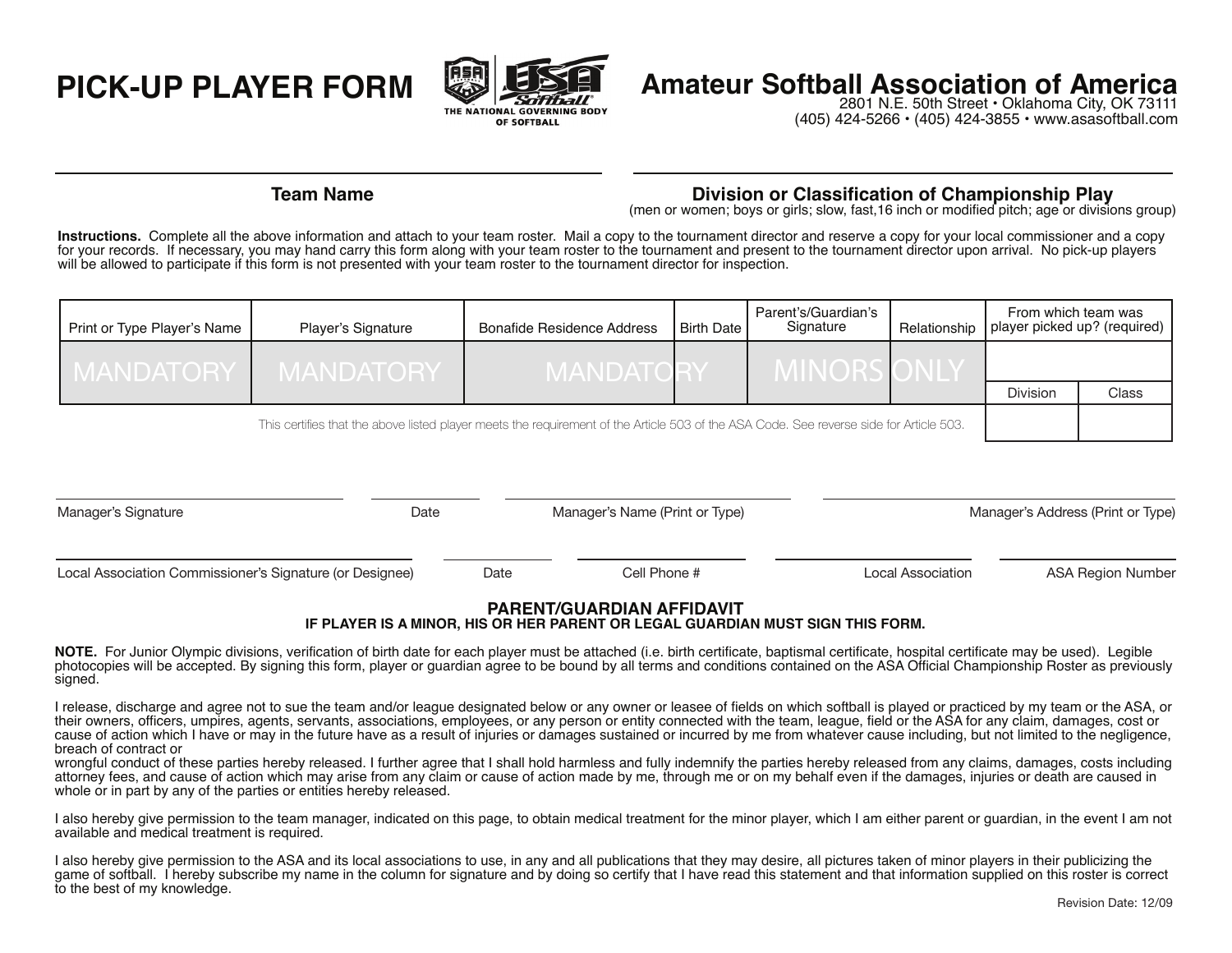

# **PICK-UP PLAYER FORM Amateur Softball Association of America**<br>ME. 50th Street • Oklahoma City, OK 73111

2801 N.E. 50th Street . Oklahoma City, OK 73111 (405) 424-5266 • (405) 424-3855 • www.asasoftball.com

## **Team Name Division or Classification of Championship Play** (men or women; boys or girls; slow, fast,16 inch or modified pitch; age or divisions group)

**Instructions.** Complete all the above information and attach to your team roster. Mail a copy to the tournament director and reserve a copy for your local commissioner and a copy for your records. If necessary, you may hand carry this form along with your team roster to the tournament and present to the tournament director upon arrival. No pick-up players will be allowed to participate if this form is not presented with your team roster to the tournament director for inspection.

| Print or Type Player's Name | Player's Signature | <b>Bonafide Residence Address</b> | Birth Date | Parent's/Guardian's<br>Signature | Relationship | From which team was<br>player picked up? (required) |       |
|-----------------------------|--------------------|-----------------------------------|------------|----------------------------------|--------------|-----------------------------------------------------|-------|
| <b>MANDATORY</b>            | I MANDATORY'       | <b>MANDATO</b>                    |            | <b>IVITNUI</b>                   |              |                                                     |       |
|                             |                    |                                   |            |                                  |              | <b>Division</b>                                     | Class |
|                             |                    |                                   |            |                                  |              |                                                     |       |

This certifies that the above listed player meets the requirement of the Article 503 of the ASA Code. See reverse side for Article 503.

| Manager's Signature                                      | Date | Manager's Name (Print or Type) |                   | Manager's Address (Print or Type) |  |  |
|----------------------------------------------------------|------|--------------------------------|-------------------|-----------------------------------|--|--|
| Local Association Commissioner's Signature (or Designee) | Date | Cell Phone #                   | Local Association | ASA Region Number                 |  |  |

## **PARENT/GUARDIAN AFFIDAVIT**

### **IF PLAYER IS A MINOR, HIS OR HER PARENT OR LEGAL GUARDIAN MUST SIGN THIS FORM.**

NOTE. For Junior Olympic divisions, verification of birth date for each player must be attached (i.e. birth certificate, baptismal certificate, hospital certificate may be used). Legible photocopies will be accepted. By signing this form, player or quardian agree to be bound by all terms and conditions contained on the ASA Official Championship Roster as previously signed.

I release, discharge and agree not to sue the team and/or league designated below or any owner or leasee of fields on which softball is played or practiced by my team or the ASA, or their owners, officers, umpires, agents, servants, associations, employees, or any person or entity connected with the team, league, field or the ASA for any claim, damages, cost or cause of action which I have or may in the future have as a result of injuries or damages sustained or incurred by me from whatever cause including, but not limited to the negligence, breach of contract or 

wrongful conduct of these parties hereby released. I further agree that I shall hold harmless and fully indemnify the parties hereby released from any claims, damages, costs including attorney fees, and cause of action which may arise from any claim or cause of action made by me, through me or on my behalf even if the damages, injuries or death are caused in whole or in part by any of the parties or entities hereby released.

I also hereby give permission to the team manager, indicated on this page, to obtain medical treatment for the minor player, which I am either parent or guardian, in the event I am not available and medical treatment is required.

I also hereby give permission to the ASA and its local associations to use, in any and all publications that they may desire, all pictures taken of minor players in their publicizing the game of softball. I hereby subscribe my name in the column for signature and by doing so certify that I have read this statement and that information supplied on this roster is correct to the best of my knowledge.